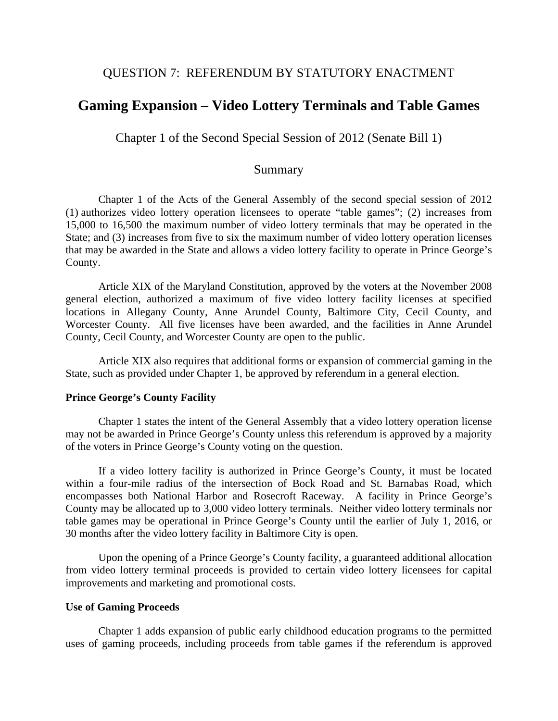## QUESTION 7: REFERENDUM BY STATUTORY ENACTMENT

# **Gaming Expansion – Video Lottery Terminals and Table Games**

Chapter 1 of the Second Special Session of 2012 (Senate Bill 1)

### Summary

 Chapter 1 of the Acts of the General Assembly of the second special session of 2012 (1) authorizes video lottery operation licensees to operate "table games"; (2) increases from 15,000 to 16,500 the maximum number of video lottery terminals that may be operated in the State; and (3) increases from five to six the maximum number of video lottery operation licenses that may be awarded in the State and allows a video lottery facility to operate in Prince George's County.

Article XIX of the Maryland Constitution, approved by the voters at the November 2008 general election, authorized a maximum of five video lottery facility licenses at specified locations in Allegany County, Anne Arundel County, Baltimore City, Cecil County, and Worcester County. All five licenses have been awarded, and the facilities in Anne Arundel County, Cecil County, and Worcester County are open to the public.

 Article XIX also requires that additional forms or expansion of commercial gaming in the State, such as provided under Chapter 1, be approved by referendum in a general election.

#### **Prince George's County Facility**

 Chapter 1 states the intent of the General Assembly that a video lottery operation license may not be awarded in Prince George's County unless this referendum is approved by a majority of the voters in Prince George's County voting on the question.

 If a video lottery facility is authorized in Prince George's County, it must be located within a four-mile radius of the intersection of Bock Road and St. Barnabas Road, which encompasses both National Harbor and Rosecroft Raceway. A facility in Prince George's County may be allocated up to 3,000 video lottery terminals. Neither video lottery terminals nor table games may be operational in Prince George's County until the earlier of July 1, 2016, or 30 months after the video lottery facility in Baltimore City is open.

Upon the opening of a Prince George's County facility, a guaranteed additional allocation from video lottery terminal proceeds is provided to certain video lottery licensees for capital improvements and marketing and promotional costs.

#### **Use of Gaming Proceeds**

 Chapter 1 adds expansion of public early childhood education programs to the permitted uses of gaming proceeds, including proceeds from table games if the referendum is approved